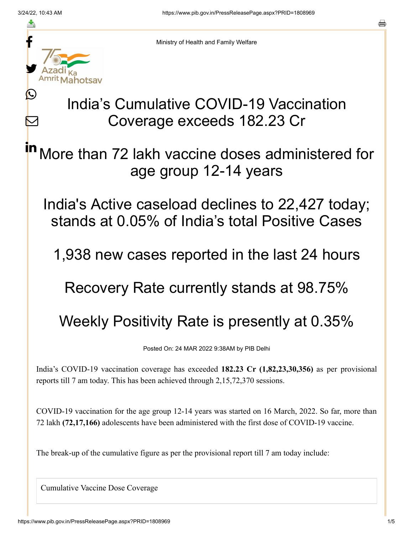≛

 $\bm{\nabla}$ 



Ministry of Health and Family Welfare

## India's Cumulative COVID-19 Vaccination Coverage exceeds 182.23 Cr

More than 72 lakh vaccine doses administered for age group 12-14 years in

India's Active caseload declines to 22,427 today; stands at 0.05% of India's total Positive Cases

1,938 new cases reported in the last 24 hours

Recovery Rate currently stands at 98.75%

Weekly Positivity Rate is presently at 0.35%

Posted On: 24 MAR 2022 9:38AM by PIB Delhi

India's COVID-19 vaccination coverage has exceeded **182.23 Cr (1,82,23,30,356)** as per provisional reports till 7 am today. This has been achieved through 2,15,72,370 sessions.

COVID-19 vaccination for the age group 12-14 years was started on 16 March, 2022. So far, more than 72 lakh **(72,17,166)** adolescents have been administered with the first dose of COVID-19 vaccine.

The break-up of the cumulative figure as per the provisional report till 7 am today include:

Cumulative Vaccine Dose Coverage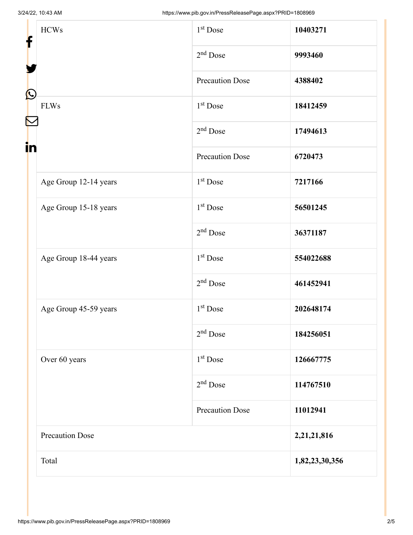| f                      | <b>HCWs</b>           | 1 <sup>st</sup> Dose   | 10403271       |
|------------------------|-----------------------|------------------------|----------------|
|                        |                       | $2nd$ Dose             | 9993460        |
| $\bf \Omega$           |                       | <b>Precaution Dose</b> | 4388402        |
| <b>FLWs</b>            |                       | 1 <sup>st</sup> Dose   | 18412459       |
|                        |                       | $2nd$ Dose             | 17494613       |
| in                     |                       | <b>Precaution Dose</b> | 6720473        |
|                        | Age Group 12-14 years | $1st$ Dose             | 7217166        |
|                        | Age Group 15-18 years | 1 <sup>st</sup> Dose   | 56501245       |
|                        |                       | $2nd$ Dose             | 36371187       |
|                        | Age Group 18-44 years | 1 <sup>st</sup> Dose   | 554022688      |
|                        |                       | $2nd$ Dose             | 461452941      |
|                        | Age Group 45-59 years | 1 <sup>st</sup> Dose   | 202648174      |
|                        |                       | $2nd$ Dose             | 184256051      |
|                        | Over 60 years         | 1 <sup>st</sup> Dose   | 126667775      |
|                        |                       | $2nd$ Dose             | 114767510      |
|                        |                       | <b>Precaution Dose</b> | 11012941       |
| <b>Precaution Dose</b> |                       |                        | 2,21,21,816    |
| Total                  |                       |                        | 1,82,23,30,356 |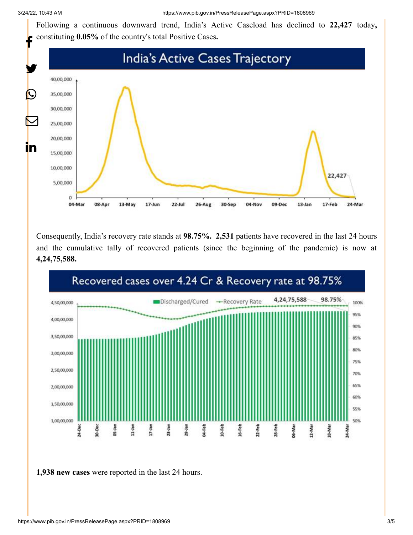Following a continuous downward trend, India's Active Caseload has declined to **22,427** today**,** constituting **0.05%** of the country's total Positive Cases**.**



Consequently, India's recovery rate stands at **98.75%. 2,531** patients have recovered in the last 24 hours and the cumulative tally of recovered patients (since the beginning of the pandemic) is now at **4,24,75,588.**



**1,938 new cases** were reported in the last 24 hours.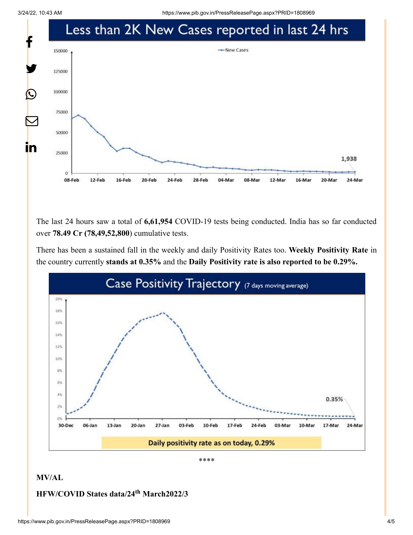3/24/22, 10:43 AM https://www.pib.gov.in/PressReleasePage.aspx?PRID=1808969



The last 24 hours saw a total of **6,61,954** COVID-19 tests being conducted. India has so far conducted over **78.49 Cr (78,49,52,800**) cumulative tests.

There has been a sustained fall in the weekly and daily Positivity Rates too. **Weekly Positivity Rate** in the country currently **stands at 0.35%** and the **Daily Positivity rate is also reported to be 0.29%.**



\*\*\*\*

## **MV/AL**

## **HFW/COVID States data/24<sup>th</sup> March2022/3**